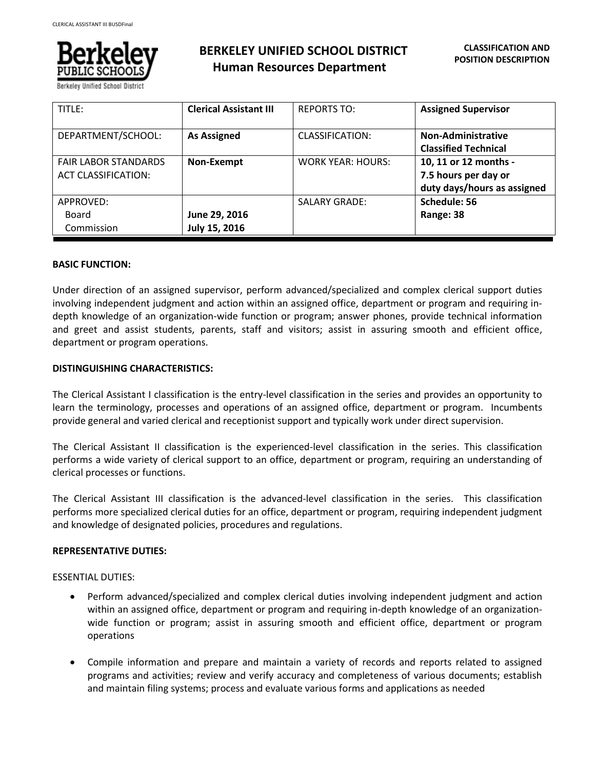

Berkeley Unified School Distric

# **BERKELEY UNIFIED SCHOOL DISTRICT Human Resources Department**

| TITLE:                                                    | <b>Clerical Assistant III</b>  | <b>REPORTS TO:</b>       | <b>Assigned Supervisor</b>                                                   |
|-----------------------------------------------------------|--------------------------------|--------------------------|------------------------------------------------------------------------------|
| DEPARTMENT/SCHOOL:                                        | <b>As Assigned</b>             | CLASSIFICATION:          | Non-Administrative<br><b>Classified Technical</b>                            |
| <b>FAIR LABOR STANDARDS</b><br><b>ACT CLASSIFICATION:</b> | Non-Exempt                     | <b>WORK YEAR: HOURS:</b> | 10, 11 or 12 months -<br>7.5 hours per day or<br>duty days/hours as assigned |
| APPROVED:<br>Board<br>Commission                          | June 29, 2016<br>July 15, 2016 | <b>SALARY GRADE:</b>     | Schedule: 56<br>Range: 38                                                    |

### **BASIC FUNCTION:**

Under direction of an assigned supervisor, perform advanced/specialized and complex clerical support duties involving independent judgment and action within an assigned office, department or program and requiring indepth knowledge of an organization-wide function or program; answer phones, provide technical information and greet and assist students, parents, staff and visitors; assist in assuring smooth and efficient office, department or program operations.

# **DISTINGUISHING CHARACTERISTICS:**

The Clerical Assistant I classification is the entry-level classification in the series and provides an opportunity to learn the terminology, processes and operations of an assigned office, department or program. Incumbents provide general and varied clerical and receptionist support and typically work under direct supervision.

The Clerical Assistant II classification is the experienced-level classification in the series. This classification performs a wide variety of clerical support to an office, department or program, requiring an understanding of clerical processes or functions.

The Clerical Assistant III classification is the advanced-level classification in the series. This classification performs more specialized clerical duties for an office, department or program, requiring independent judgment and knowledge of designated policies, procedures and regulations.

#### **REPRESENTATIVE DUTIES:**

ESSENTIAL DUTIES:

- Perform advanced/specialized and complex clerical duties involving independent judgment and action within an assigned office, department or program and requiring in-depth knowledge of an organizationwide function or program; assist in assuring smooth and efficient office, department or program operations
- Compile information and prepare and maintain a variety of records and reports related to assigned programs and activities; review and verify accuracy and completeness of various documents; establish and maintain filing systems; process and evaluate various forms and applications as needed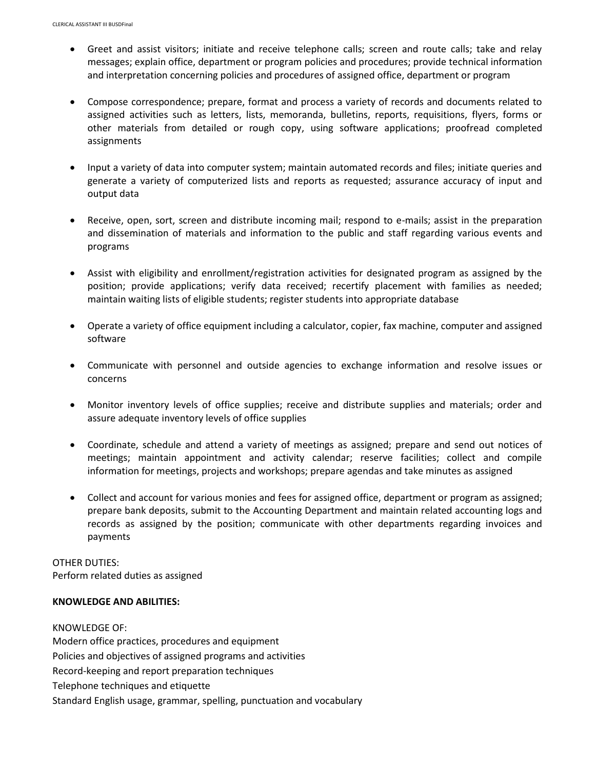- Greet and assist visitors; initiate and receive telephone calls; screen and route calls; take and relay messages; explain office, department or program policies and procedures; provide technical information and interpretation concerning policies and procedures of assigned office, department or program
- Compose correspondence; prepare, format and process a variety of records and documents related to assigned activities such as letters, lists, memoranda, bulletins, reports, requisitions, flyers, forms or other materials from detailed or rough copy, using software applications; proofread completed assignments
- Input a variety of data into computer system; maintain automated records and files; initiate queries and generate a variety of computerized lists and reports as requested; assurance accuracy of input and output data
- Receive, open, sort, screen and distribute incoming mail; respond to e-mails; assist in the preparation and dissemination of materials and information to the public and staff regarding various events and programs
- Assist with eligibility and enrollment/registration activities for designated program as assigned by the position; provide applications; verify data received; recertify placement with families as needed; maintain waiting lists of eligible students; register students into appropriate database
- Operate a variety of office equipment including a calculator, copier, fax machine, computer and assigned software
- Communicate with personnel and outside agencies to exchange information and resolve issues or concerns
- Monitor inventory levels of office supplies; receive and distribute supplies and materials; order and assure adequate inventory levels of office supplies
- Coordinate, schedule and attend a variety of meetings as assigned; prepare and send out notices of meetings; maintain appointment and activity calendar; reserve facilities; collect and compile information for meetings, projects and workshops; prepare agendas and take minutes as assigned
- Collect and account for various monies and fees for assigned office, department or program as assigned; prepare bank deposits, submit to the Accounting Department and maintain related accounting logs and records as assigned by the position; communicate with other departments regarding invoices and payments

OTHER DUTIES: Perform related duties as assigned

#### **KNOWLEDGE AND ABILITIES:**

KNOWLEDGE OF: Modern office practices, procedures and equipment Policies and objectives of assigned programs and activities Record-keeping and report preparation techniques Telephone techniques and etiquette Standard English usage, grammar, spelling, punctuation and vocabulary